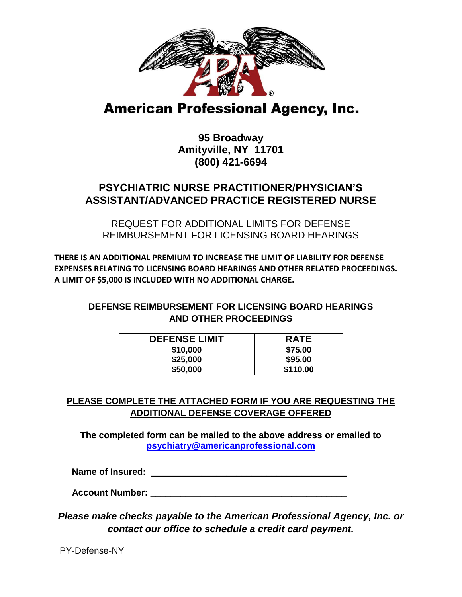

## **American Professional Agency, Inc.**

**95 Broadway Amityville, NY 11701 (800) 421-6694**

## **PSYCHIATRIC NURSE PRACTITIONER/PHYSICIAN'S ASSISTANT/ADVANCED PRACTICE REGISTERED NURSE**

REQUEST FOR ADDITIONAL LIMITS FOR DEFENSE REIMBURSEMENT FOR LICENSING BOARD HEARINGS

**THERE IS AN ADDITIONAL PREMIUM TO INCREASE THE LIMIT OF LIABILITY FOR DEFENSE EXPENSES RELATING TO LICENSING BOARD HEARINGS AND OTHER RELATED PROCEEDINGS. A LIMIT OF \$5,000 IS INCLUDED WITH NO ADDITIONAL CHARGE.**

## **DEFENSE REIMBURSEMENT FOR LICENSING BOARD HEARINGS AND OTHER PROCEEDINGS**

| <b>DEFENSE LIMIT</b> | <b>RATE</b> |
|----------------------|-------------|
| \$10,000             | \$75.00     |
| \$25,000             | \$95.00     |
| \$50,000             | \$110.00    |

## **PLEASE COMPLETE THE ATTACHED FORM IF YOU ARE REQUESTING THE ADDITIONAL DEFENSE COVERAGE OFFERED**

**The completed form can be mailed to the above address or emailed to psychiatry@americanprofessional.com**

 **Name of Insured: \_\_\_\_\_\_\_\_\_\_\_\_\_\_\_\_\_\_\_\_\_\_\_\_\_\_\_\_\_\_\_\_\_\_\_\_\_\_\_**

 **Account Number: \_\_\_\_\_\_\_\_\_\_\_\_\_\_\_\_\_\_\_\_\_\_\_\_\_\_\_\_\_\_\_\_\_\_\_\_\_\_\_**

*Please make checks payable to the American Professional Agency, Inc. or contact our office to schedule a credit card payment.*

PY-Defense-NY